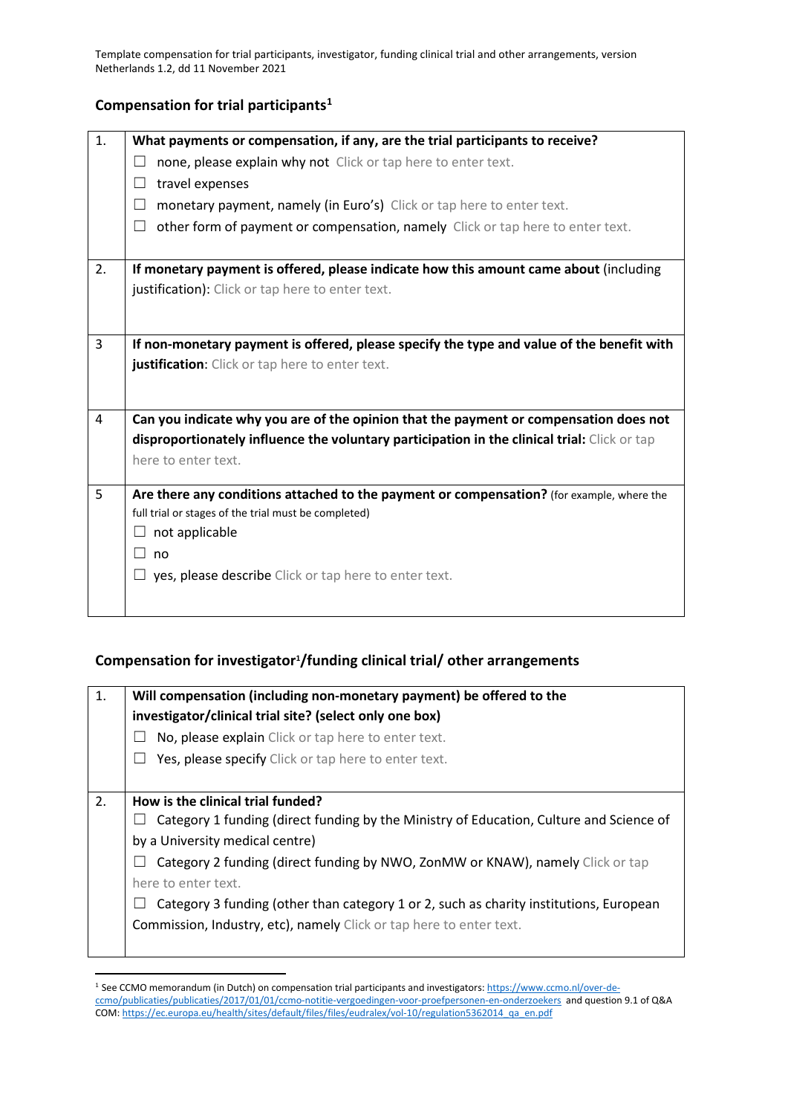Template compensation for trial participants, investigator, funding clinical trial and other arrangements, version Netherlands 1.2, dd 11 November 2021

## **Compensation for trial participants[1](#page-0-0)**

| 1.             | What payments or compensation, if any, are the trial participants to receive?                                                                     |
|----------------|---------------------------------------------------------------------------------------------------------------------------------------------------|
|                | none, please explain why not Click or tap here to enter text.<br>$\mathbf{L}$                                                                     |
|                | travel expenses<br>⊔                                                                                                                              |
|                | monetary payment, namely (in Euro's) Click or tap here to enter text.<br>$\perp$                                                                  |
|                | П<br>other form of payment or compensation, namely Click or tap here to enter text.                                                               |
| 2.             | If monetary payment is offered, please indicate how this amount came about (including                                                             |
|                | justification): Click or tap here to enter text.                                                                                                  |
|                |                                                                                                                                                   |
| $\overline{3}$ | If non-monetary payment is offered, please specify the type and value of the benefit with                                                         |
|                | justification: Click or tap here to enter text.                                                                                                   |
|                |                                                                                                                                                   |
| 4              | Can you indicate why you are of the opinion that the payment or compensation does not                                                             |
|                | disproportionately influence the voluntary participation in the clinical trial: Click or tap                                                      |
|                | here to enter text.                                                                                                                               |
|                |                                                                                                                                                   |
| 5              | Are there any conditions attached to the payment or compensation? (for example, where the<br>full trial or stages of the trial must be completed) |
|                | not applicable<br>⊔                                                                                                                               |
|                | $\perp$<br>no                                                                                                                                     |
|                | yes, please describe Click or tap here to enter text.                                                                                             |
|                |                                                                                                                                                   |
|                |                                                                                                                                                   |

## **Compensation for investigator1 /funding clinical trial/ other arrangements**

| 1. | Will compensation (including non-monetary payment) be offered to the                    |
|----|-----------------------------------------------------------------------------------------|
|    | investigator/clinical trial site? (select only one box)                                 |
|    | No, please explain Click or tap here to enter text.                                     |
|    | Yes, please specify Click or tap here to enter text.                                    |
|    |                                                                                         |
| 2. | How is the clinical trial funded?                                                       |
|    | Category 1 funding (direct funding by the Ministry of Education, Culture and Science of |
|    | by a University medical centre)                                                         |
|    | Category 2 funding (direct funding by NWO, ZonMW or KNAW), namely Click or tap          |
|    | here to enter text.                                                                     |
|    | Category 3 funding (other than category 1 or 2, such as charity institutions, European  |
|    | Commission, Industry, etc), namely Click or tap here to enter text.                     |
|    |                                                                                         |

<span id="page-0-0"></span> <sup>1</sup> See CCMO memorandum (in Dutch) on compensation trial participants and investigators: [https://www.ccmo.nl/over-de](https://www.ccmo.nl/over-de-ccmo/publicaties/publicaties/2017/01/01/ccmo-notitie-vergoedingen-voor-proefpersonen-en-onderzoekers)[ccmo/publicaties/publicaties/2017/01/01/ccmo-notitie-vergoedingen-voor-proefpersonen-en-onderzoekers](https://www.ccmo.nl/over-de-ccmo/publicaties/publicaties/2017/01/01/ccmo-notitie-vergoedingen-voor-proefpersonen-en-onderzoekers) and question 9.1 of Q&A COM[: https://ec.europa.eu/health/sites/default/files/files/eudralex/vol-10/regulation5362014\\_qa\\_en.pdf](https://ec.europa.eu/health/sites/default/files/files/eudralex/vol-10/regulation5362014_qa_en.pdf)